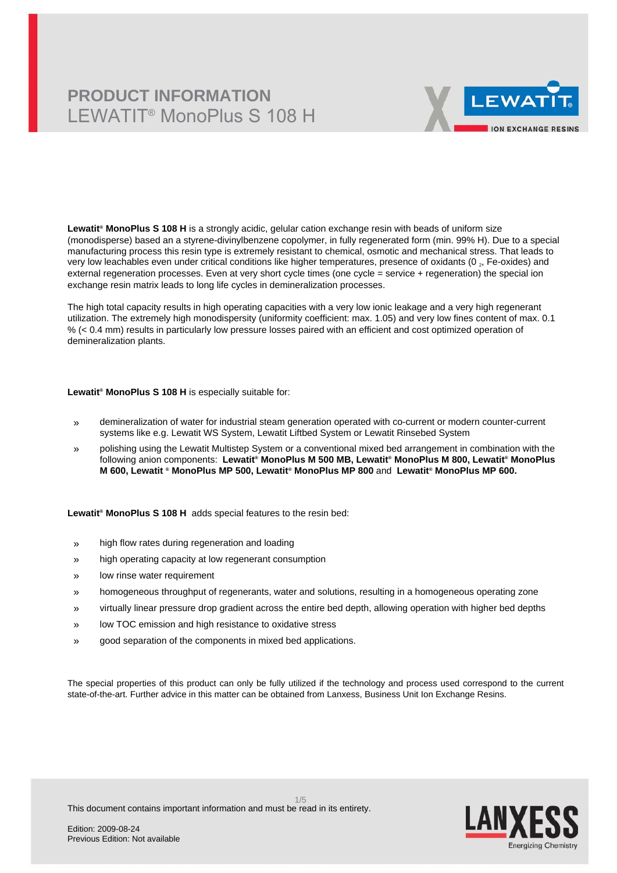# **PRODUCT INFORMATION** LEWATIT® MonoPlus S 108 H



**Lewatit® MonoPlus S 108 H** is a strongly acidic, gelular cation exchange resin with beads of uniform size (monodisperse) based an a styrene-divinylbenzene copolymer, in fully regenerated form (min. 99% H). Due to a special manufacturing process this resin type is extremely resistant to chemical, osmotic and mechanical stress. That leads to very low leachables even under critical conditions like higher temperatures, presence of oxidants (0  $_{\rm z}$ , Fe-oxides) and external regeneration processes. Even at very short cycle times (one cycle = service + regeneration) the special ion exchange resin matrix leads to long life cycles in demineralization processes.

The high total capacity results in high operating capacities with a very low ionic leakage and a very high regenerant utilization. The extremely high monodispersity (uniformity coefficient: max. 1.05) and very low fines content of max. 0.1 % (< 0.4 mm) results in particularly low pressure losses paired with an efficient and cost optimized operation of demineralization plants.

#### **Lewatit® MonoPlus S 108 H** is especially suitable for:

- » demineralization of water for industrial steam generation operated with co-current or modern counter-current systems like e.g. Lewatit WS System, Lewatit Liftbed System or Lewatit Rinsebed System
- » polishing using the Lewatit Multistep System or a conventional mixed bed arrangement in combination with the following anion components: **Lewatit® MonoPlus M 500 MB, Lewatit® MonoPlus M 800, Lewatit® MonoPlus M 600, Lewatit ® MonoPlus MP 500, Lewatit® MonoPlus MP 800** and **Lewatit® MonoPlus MP 600.**

**Lewatit® MonoPlus S 108 H** adds special features to the resin bed:

- » high flow rates during regeneration and loading
- » high operating capacity at low regenerant consumption
- » low rinse water requirement
- » homogeneous throughput of regenerants, water and solutions, resulting in a homogeneous operating zone
- » virtually linear pressure drop gradient across the entire bed depth, allowing operation with higher bed depths
- » low TOC emission and high resistance to oxidative stress
- » good separation of the components in mixed bed applications.

The special properties of this product can only be fully utilized if the technology and process used correspond to the current state-of-the-art. Further advice in this matter can be obtained from Lanxess, Business Unit Ion Exchange Resins.

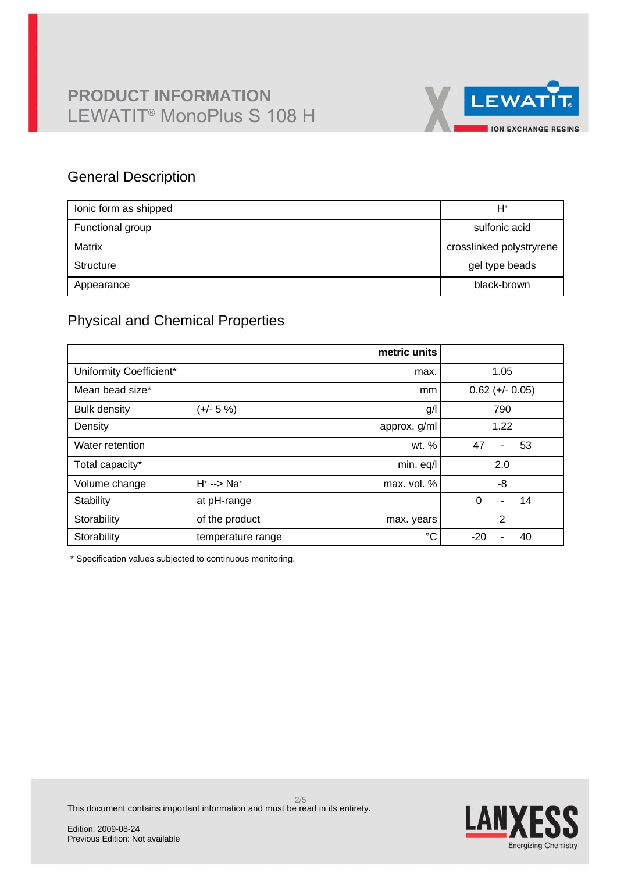

## General Description

| lonic form as shipped | H+                       |
|-----------------------|--------------------------|
| Functional group      | sulfonic acid            |
| Matrix                | crosslinked polystryrene |
| Structure             | gel type beads           |
| Appearance            | black-brown              |

## Physical and Chemical Properties

|                         |                            | metric units |                                  |  |  |
|-------------------------|----------------------------|--------------|----------------------------------|--|--|
| Uniformity Coefficient* |                            | max.         | 1.05                             |  |  |
| Mean bead size*         |                            | mm           | $0.62 (+/- 0.05)$                |  |  |
| <b>Bulk density</b>     | (+/- 5 %)                  | g/           | 790                              |  |  |
| Density                 |                            | approx. g/ml | 1.22                             |  |  |
| Water retention         |                            | wt. %        | 47<br>53<br>$\blacksquare$       |  |  |
| Total capacity*         |                            | min. eq/l    | 2.0                              |  |  |
| Volume change           | $H^* \longrightarrow Na^*$ | max. vol. %  | -8                               |  |  |
| Stability               | at pH-range                |              | $\Omega$<br>14<br>$\blacksquare$ |  |  |
| Storability             | of the product             | max. years   | $\overline{2}$                   |  |  |
| Storability             | temperature range          | °C           | $-20$<br>40                      |  |  |

\* Specification values subjected to continuous monitoring.



This document contains important information and must be read in its entirety.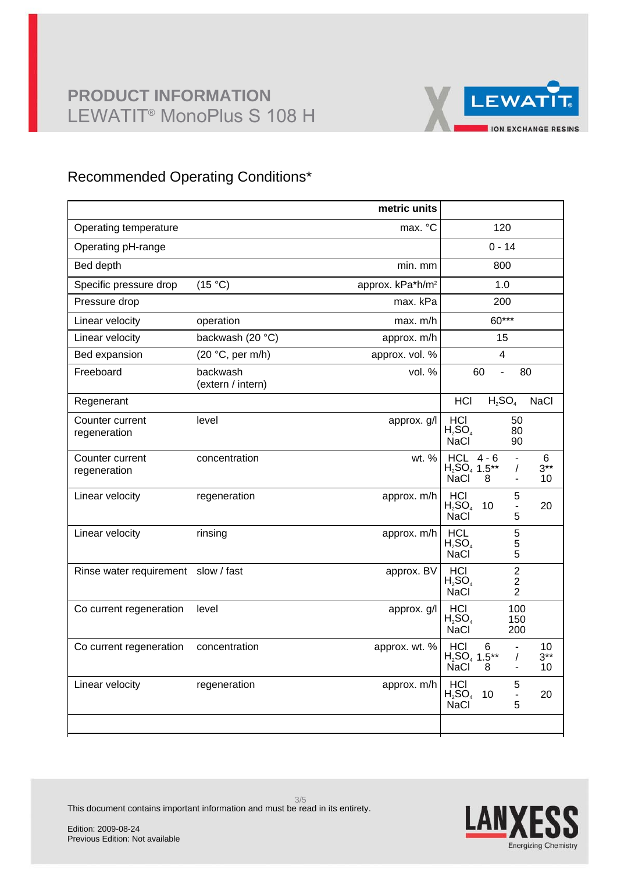

## Recommended Operating Conditions\*

|                                     |                               | metric units                 |                                                                                                                  |  |  |
|-------------------------------------|-------------------------------|------------------------------|------------------------------------------------------------------------------------------------------------------|--|--|
| Operating temperature               |                               | max. °C                      | 120                                                                                                              |  |  |
| Operating pH-range                  |                               |                              | $0 - 14$                                                                                                         |  |  |
| Bed depth                           |                               | min. mm                      | 800                                                                                                              |  |  |
| Specific pressure drop              | (15 °C)                       | approx. kPa*h/m <sup>2</sup> | 1.0                                                                                                              |  |  |
| Pressure drop                       |                               | max. kPa                     | 200                                                                                                              |  |  |
| Linear velocity                     | operation                     | max. m/h                     | 60***                                                                                                            |  |  |
| Linear velocity                     | backwash (20 °C)              | approx. m/h                  | 15                                                                                                               |  |  |
| Bed expansion                       | (20 °C, per m/h)              | approx. vol. %               | 4                                                                                                                |  |  |
| Freeboard                           | backwash<br>(extern / intern) | vol. $%$                     | 80<br>60<br>$\overline{a}$                                                                                       |  |  |
| Regenerant                          |                               |                              | $H_2SO_4$<br><b>HCI</b><br><b>NaCl</b>                                                                           |  |  |
| Counter current<br>regeneration     | level                         | approx. g/l                  | HCI<br>50<br>$H_2SO_4$<br>80<br><b>NaCl</b><br>90                                                                |  |  |
| Counter current<br>regeneration     | concentration                 | wt. %                        | $HCL$ 4 - 6<br>6<br>$\blacksquare$<br>$H_2SO_4$ 1.5**<br>$3***$<br>$\prime$<br>NaCl<br>10<br>8<br>$\blacksquare$ |  |  |
| Linear velocity                     | regeneration                  | approx. m/h                  | <b>HCI</b><br>5<br>$H_2SO_4$<br>10<br>20<br>$\blacksquare$<br>5<br><b>NaCl</b>                                   |  |  |
| Linear velocity                     | rinsing                       | approx. m/h                  | 5<br><b>HCL</b><br>$H_2SO_4$<br>5<br>5<br><b>NaCl</b>                                                            |  |  |
| Rinse water requirement slow / fast |                               | approx. BV                   | $\overline{2}$<br>HCI<br>$H_2SO_4$<br>$\overline{\mathbf{c}}$<br>$\overline{2}$<br><b>NaCl</b>                   |  |  |
| Co current regeneration             | level                         | approx. g/l                  | 100<br>HCI<br>$H_2SO_4$<br>150<br><b>NaCl</b><br>200                                                             |  |  |
| Co current regeneration             | concentration                 | approx. wt. %                | <b>HCI</b><br>6<br>10<br>$\blacksquare$<br>$H_2SO_4$ 1.5**<br>$3***$<br>$\prime$<br><b>NaCl</b><br>10<br>8       |  |  |
| Linear velocity                     | regeneration                  | approx. m/h                  | 5<br>HCI<br>$H_2SO_4$<br>10<br>20<br>$\blacksquare$<br><b>NaCl</b><br>5                                          |  |  |
|                                     |                               |                              |                                                                                                                  |  |  |



This document contains important information and must be read in its entirety.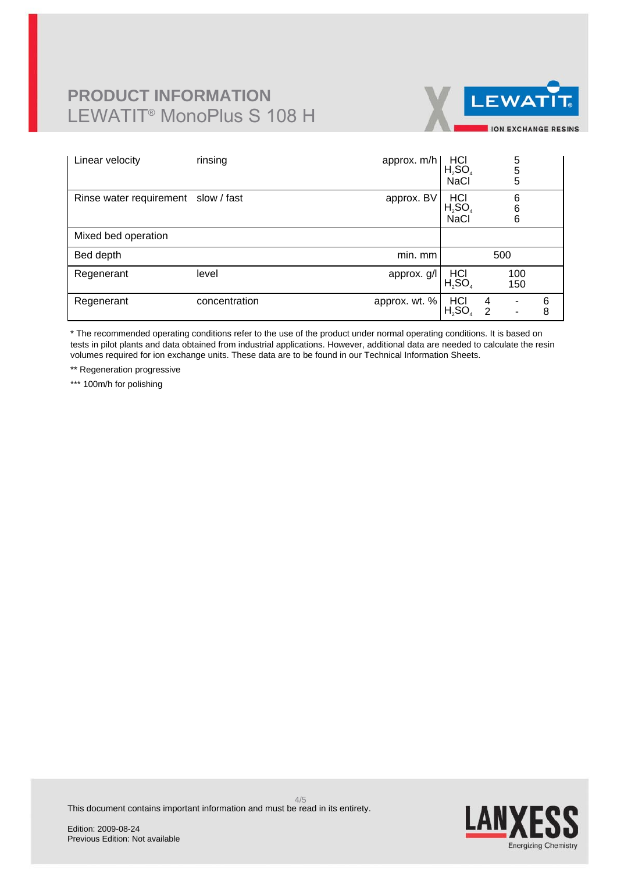# **PRODUCT INFORMATION** LEWATIT® MonoPlus S 108 H



| Linear velocity                     | rinsing       | approx. m/h   | $H_2$ SO <sub>4</sub><br><b>NaCl</b>          | 5<br>$\frac{5}{5}$                                   |        |
|-------------------------------------|---------------|---------------|-----------------------------------------------|------------------------------------------------------|--------|
| Rinse water requirement slow / fast |               | approx. BV    | H <sub>2</sub> SO <sub>4</sub><br><b>NaCl</b> | 6<br>$\frac{6}{6}$                                   |        |
| Mixed bed operation                 |               |               |                                               |                                                      |        |
| Bed depth                           |               | min. mm       |                                               | 500                                                  |        |
| Regenerant                          | level         | approx. g/l   | $H_2$ SO <sub>4</sub>                         | 100<br>150                                           |        |
| Regenerant                          | concentration | approx. wt. % | H <sub>2</sub> SO <sub>4</sub>                | 4<br>$\overline{\phantom{a}}$<br>$\overline{2}$<br>٠ | 6<br>8 |

\* The recommended operating conditions refer to the use of the product under normal operating conditions. It is based on tests in pilot plants and data obtained from industrial applications. However, additional data are needed to calculate the resin volumes required for ion exchange units. These data are to be found in our Technical Information Sheets.

\*\* Regeneration progressive

\*\*\* 100m/h for polishing